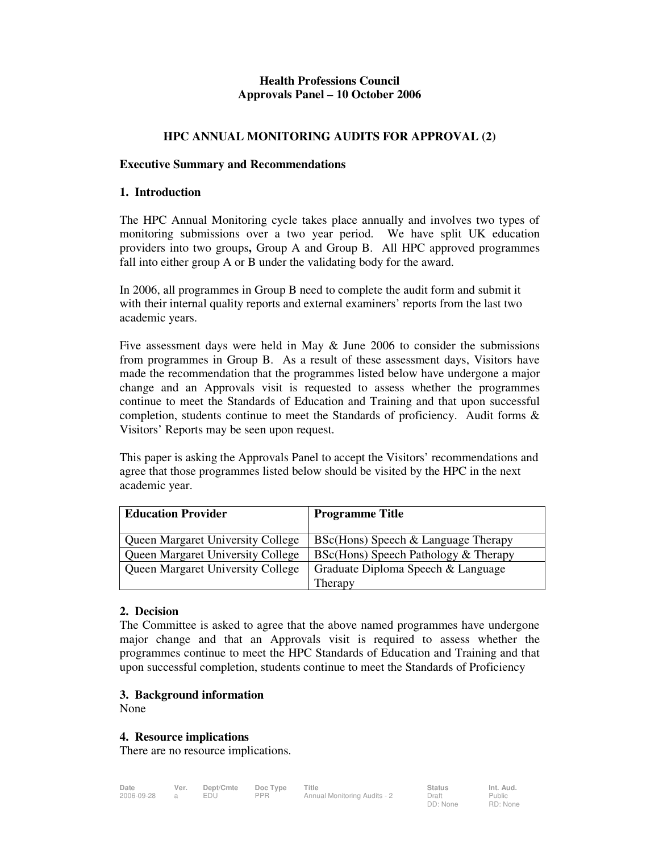## **Health Professions Council Approvals Panel – 10 October 2006**

## **HPC ANNUAL MONITORING AUDITS FOR APPROVAL (2)**

#### **Executive Summary and Recommendations**

#### **1. Introduction**

The HPC Annual Monitoring cycle takes place annually and involves two types of monitoring submissions over a two year period. We have split UK education providers into two groups**,** Group A and Group B. All HPC approved programmes fall into either group A or B under the validating body for the award.

In 2006, all programmes in Group B need to complete the audit form and submit it with their internal quality reports and external examiners' reports from the last two academic years.

Five assessment days were held in May & June 2006 to consider the submissions from programmes in Group B. As a result of these assessment days, Visitors have made the recommendation that the programmes listed below have undergone a major change and an Approvals visit is requested to assess whether the programmes continue to meet the Standards of Education and Training and that upon successful completion, students continue to meet the Standards of proficiency. Audit forms & Visitors' Reports may be seen upon request.

This paper is asking the Approvals Panel to accept the Visitors' recommendations and agree that those programmes listed below should be visited by the HPC in the next academic year.

| <b>Education Provider</b>                | <b>Programme Title</b>               |  |
|------------------------------------------|--------------------------------------|--|
| <b>Queen Margaret University College</b> | BSc(Hons) Speech & Language Therapy  |  |
| <b>Queen Margaret University College</b> | BSc(Hons) Speech Pathology & Therapy |  |
| <b>Queen Margaret University College</b> | Graduate Diploma Speech & Language   |  |
|                                          | Therapy                              |  |

### **2. Decision**

The Committee is asked to agree that the above named programmes have undergone major change and that an Approvals visit is required to assess whether the programmes continue to meet the HPC Standards of Education and Training and that upon successful completion, students continue to meet the Standards of Proficiency

# **3. Background information**

None

### **4. Resource implications**

There are no resource implications.

| Date       | Ver. | Dept/Cmte | Doc Type   | Title                        | <b>Status</b>     | Int. Aud.          |
|------------|------|-----------|------------|------------------------------|-------------------|--------------------|
| 2006-09-28 |      | EDU       | <b>PPR</b> | Annual Monitoring Audits - 2 | Draft<br>DD: None | Public<br>RD: None |